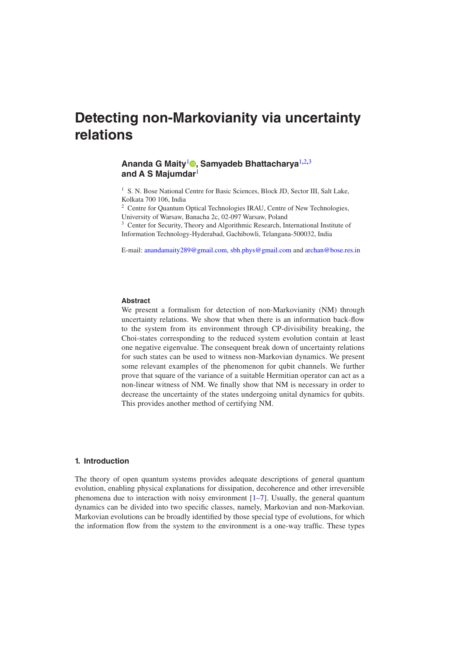# **Detecting non-Markovianity via uncertainty relations**

## **Ananda G Maity**[1](#page-0-0) **, Samyadeb Bhattacharya**[1](#page-0-0)**,**[2](#page-0-1)**,**[3](#page-0-2) **and A S Majumdar**[1](#page-0-0)

<span id="page-0-0"></span><sup>1</sup> S. N. Bose National Centre for Basic Sciences, Block JD, Sector III, Salt Lake, Kolkata 700 106, India

<span id="page-0-1"></span><sup>2</sup> Centre for Quantum Optical Technologies IRAU, Centre of New Technologies, University of Warsaw, Banacha 2c, 02-097 Warsaw, Poland

<span id="page-0-2"></span><sup>3</sup> Center for Security, Theory and Algorithmic Research, International Institute of Information Technology-Hyderabad, Gachibowli, Telangana-500032, India

E-mail: [anandamaity289@gmail.com](mailto:anandamaity289@gmail.com), [sbh.phys@gmail.com](mailto:sbh.phys@gmail.com) and [archan@bose.res.in](mailto:archan@bose.res.in)

### **Abstract**

We present a formalism for detection of non-Markovianity (NM) through uncertainty relations. We show that when there is an information back-flow to the system from its environment through CP-divisibility breaking, the Choi-states corresponding to the reduced system evolution contain at least one negative eigenvalue. The consequent break down of uncertainty relations for such states can be used to witness non-Markovian dynamics. We present some relevant examples of the phenomenon for qubit channels. We further prove that square of the variance of a suitable Hermitian operator can act as a non-linear witness of NM. We finally show that NM is necessary in order to decrease the uncertainty of the states undergoing unital dynamics for qubits. This provides another method of certifying NM.

#### **1. Introduction**

The theory of open quantum systems provides adequate descriptions of general quantum evolution, enabling physical explanations for dissipation, decoherence and other irreversible phenomena due to interaction with noisy environment  $[1-7]$  $[1-7]$  $[1-7]$  $[1-7]$ . Usually, the general quantum dynamics can be divided into two specific classes, namely, Markovian and non-Markovian. Markovian evolutions can be broadly identified by those special type of evolutions, for which the information flow from the system to the environment is a one-way traffic. These types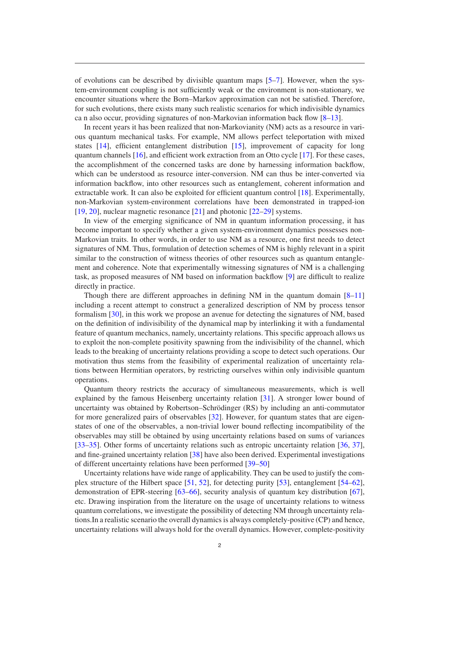of evolutions can be described by divisible quantum maps  $[5-7]$  $[5-7]$  $[5-7]$  $[5-7]$ . However, when the system-environment coupling is not sufficiently weak or the environment is non-stationary, we encounter situations where the Born–Markov approximation can not be satisfied. Therefore, for such evolutions, there exists many such realistic scenarios for which indivisible dynamics ca n also occur, providing signatures of non-Markovian information back flow [\[8](#page-12-3)–[13](#page-12-4)].

In recent years it has been realized that non-Markovianity (NM) acts as a resource in various quantum mechanical tasks. For example, NM allows perfect teleportation with mixed states  $[14]$  $[14]$ , efficient entanglement distribution  $[15]$  $[15]$ , improvement of capacity for long quantum channels  $[16]$  $[16]$ , and efficient work extraction from an Otto cycle  $[17]$  $[17]$ . For these cases, the accomplishment of the concerned tasks are done by harnessing information backflow, which can be understood as resource inter-conversion. NM can thus be inter-converted via information backflow, into other resources such as entanglement, coherent information and extractable work. It can also be exploited for efficient quantum control [[18\]](#page-12-9). Experimentally, non-Markovian system-environment correlations have been demonstrated in trapped-ion [\[19](#page-12-10), [20](#page-12-11)], nuclear magnetic resonance [[21\]](#page-12-12) and photonic [\[22](#page-12-13)–[29](#page-12-14)] systems.

In view of the emerging significance of NM in quantum information processing, it has become important to specify whether a given system-environment dynamics possesses non-Markovian traits. In other words, in order to use NM as a resource, one first needs to detect signatures of NM. Thus, formulation of detection schemes of NM is highly relevant in a spirit similar to the construction of witness theories of other resources such as quantum entanglement and coherence. Note that experimentally witnessing signatures of NM is a challenging task, as proposed measures of NM based on information backflow [[9\]](#page-12-15) are difficult to realize directly in practice.

Though there are different approaches in defining NM in the quantum domain  $[8-11]$  $[8-11]$  $[8-11]$  $[8-11]$ including a recent attempt to construct a generalized description of NM by process tensor formalism [[30\]](#page-12-17), in this work we propose an avenue for detecting the signatures of NM, based on the definition of indivisibility of the dynamical map by interlinking it with a fundamental feature of quantum mechanics, namely, uncertainty relations. This specific approach allows us to exploit the non-complete positivity spawning from the indivisibility of the channel, which leads to the breaking of uncertainty relations providing a scope to detect such operations. Our motivation thus stems from the feasibility of experimental realization of uncertainty relations between Hermitian operators, by restricting ourselves within only indivisible quantum operations.

Quantum theory restricts the accuracy of simultaneous measurements, which is well explained by the famous Heisenberg uncertainty relation [[31\]](#page-12-18). A stronger lower bound of uncertainty was obtained by Robertson–Schrödinger (RS) by including an anti-commutator for more generalized pairs of observables [\[32](#page-12-19)]. However, for quantum states that are eigenstates of one of the observables, a non-trivial lower bound reflecting incompatibility of the observables may still be obtained by using uncertainty relations based on sums of variances [\[33](#page-13-1)–[35](#page-13-2)]. Other forms of uncertainty relations such as entropic uncertainty relation [[36,](#page-13-3) [37](#page-13-4)], and fine-grained uncertainty relation [[38\]](#page-13-5) have also been derived. Experimental investigations of different uncertainty relations have been performed [[39](#page-13-6)–[50\]](#page-13-7)

Uncertainty relations have wide range of applicability. They can be used to justify the complex structure of the Hilbert space [[51,](#page-13-8) [52](#page-13-9)], for detecting purity [\[53](#page-13-10)], entanglement [\[54](#page-13-11)–[62](#page-13-12)], demonstration of EPR-steering [[63](#page-13-13)–[66\]](#page-13-14), security analysis of quantum key distribution [\[67](#page-13-15)], etc. Drawing inspiration from the literature on the usage of uncertainty relations to witness quantum correlations, we investigate the possibility of detecting NM through uncertainty relations.In a realistic scenario the overall dynamics is always completely-positive (CP) and hence, uncertainty relations will always hold for the overall dynamics. However, complete-positivity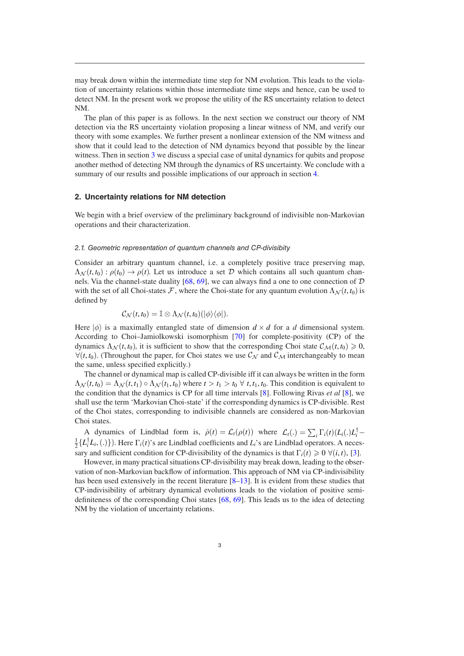may break down within the intermediate time step for NM evolution. This leads to the violation of uncertainty relations within those intermediate time steps and hence, can be used to detect NM. In the present work we propose the utility of the RS uncertainty relation to detect NM.

The plan of this paper is as follows. In the next section we construct our theory of NM detection via the RS uncertainty violation proposing a linear witness of NM, and verify our theory with some examples. We further present a nonlinear extension of the NM witness and show that it could lead to the detection of NM dynamics beyond that possible by the linear witness. Then in section [3](#page-10-0) we discuss a special case of unital dynamics for qubits and propose another method of detecting NM through the dynamics of RS uncertainty. We conclude with a summary of our results and possible implications of our approach in section [4](#page-11-0).

#### **2. Uncertainty relations for NM detection**

We begin with a brief overview of the preliminary background of indivisible non-Markovian operations and their characterization.

#### *2.1. Geometric representation of quantum channels and CP-divisibity*

Consider an arbitrary quantum channel, i.e. a completely positive trace preserving map,  $\Lambda_{\mathcal{N}}(t,t_0): \rho(t_0) \to \rho(t)$ . Let us introduce a set D which contains all such quantum chan-nels. Via the channel-state duality [\[68](#page-13-16), [69\]](#page-13-17), we can always find a one to one connection of  $D$ with the set of all Choi-states F, where the Choi-state for any quantum evolution  $\Lambda_{N}(t, t_{0})$  is defined by

$$
\mathcal{C}_{\mathcal{N}}(t,t_0)=\mathbb{I}\otimes \Lambda_{\mathcal{N}}(t,t_0)(|\phi\rangle\langle\phi|).
$$

Here  $|\phi\rangle$  is a maximally entangled state of dimension  $d \times d$  for a *d* dimensional system. According to Choi–Jamiolkowski isomorphism [\[70](#page-13-18)] for complete-positivity (CP) of the dynamics  $\Lambda_{\mathcal{N}}(t, t_0)$ , it is sufficient to show that the corresponding Choi state  $\mathcal{C}_{\mathcal{M}}(t, t_0) \geq 0$ ,  $\forall$ (*t*, *t*<sub>0</sub>). (Throughout the paper, for Choi states we use  $\mathcal{C}_{\mathcal{N}}$  and  $\mathcal{C}_{\mathcal{M}}$  interchangeably to mean the same, unless specified explicitly.)

The channel or dynamical map is called CP-divisible iff it can always be written in the form  $\Lambda_N(t, t_0) = \Lambda_N(t, t_1) \circ \Lambda_N(t_1, t_0)$  where  $t > t_1 > t_0 \ \forall t, t_1, t_0$ . This condition is equivalent to the condition that the dynamics is CP for all time intervals [\[8](#page-12-3)]. Following Rivas *et al* [[8\]](#page-12-3), we shall use the term 'Markovian Choi-state' if the corresponding dynamics is CP-divisible. Rest of the Choi states, corresponding to indivisible channels are considered as non-Markovian Choi states.

A dynamics of Lindblad form is,  $\dot{\rho}(t) = \mathcal{L}_t(\rho(t))$  where  $\mathcal{L}_t(.) = \sum_i \Gamma_i(t) (L_i(.)L_i^{\dagger})$ *A* dynamics of Emdolad form is,  $\rho(t) = \mathcal{L}_t(\rho(t))$  where  $\mathcal{L}_t(.) = \sum_i \Gamma_i(t) (\mathcal{L}_i(.) \mathcal{L}_i - \frac{1}{2} \{L_i^{\dagger} L_i,(.)\})$ . Here  $\Gamma_i(t)$ 's are Lindblad coefficients and  $L_i$ 's are Lindblad operators. A necessary and sufficient condition for CP-divisibility of the dynamics is that  $\Gamma_i(t) \geq 0 \ \forall (i, t)$ , [\[3](#page-12-20)].

However, in many practical situations CP-divisibility may break down, leading to the observation of non-Markovian backflow of information. This approach of NM via CP-indivisibility has been used extensively in the recent literature [[8](#page-12-3)–[13\]](#page-12-4). It is evident from these studies that CP-indivisibility of arbitrary dynamical evolutions leads to the violation of positive semidefiniteness of the corresponding Choi states [[68,](#page-13-16) [69](#page-13-17)]. This leads us to the idea of detecting NM by the violation of uncertainty relations.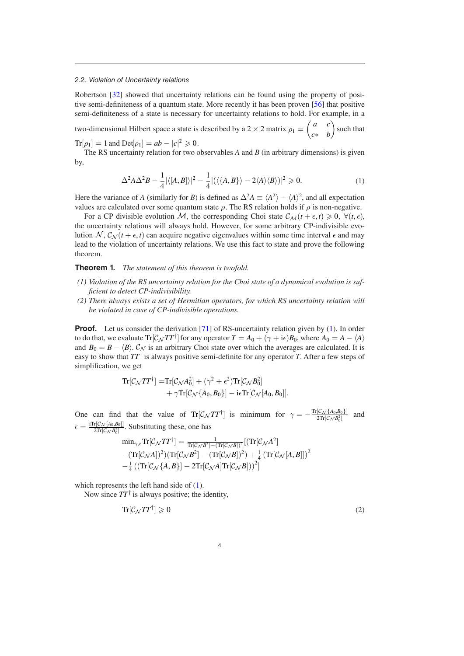#### *2.2. Violation of Uncertainty relations*

Robertson [\[32](#page-12-19)] showed that uncertainty relations can be found using the property of positive semi-definiteness of a quantum state. More recently it has been proven [\[56](#page-13-19)] that positive semi-definiteness of a state is necessary for uncertainty relations to hold. For example, in a

two-dimensional Hilbert space a state is described by a 2  $\times$  2 matrix  $\rho_1 = \begin{pmatrix} a & c \\ c & b \end{pmatrix}$ *c*∗ *b* such that

 $Tr[\rho_1] = 1$  and  $Det[\rho_1] = ab - |c|^2 \ge 0$ .

The RS uncertainty relation for two observables *A* and *B* (in arbitrary dimensions) is given by,

<span id="page-3-0"></span>
$$
\Delta^2 A \Delta^2 B - \frac{1}{4} |\langle [A, B] \rangle|^2 - \frac{1}{4} |(\langle \{A, B\} \rangle - 2 \langle A \rangle \langle B \rangle)|^2 \geqslant 0. \tag{1}
$$

Here the variance of *A* (similarly for *B*) is defined as  $\Delta^2 A \equiv \langle A^2 \rangle - \langle A \rangle^2$ , and all expectation values are calculated over some quantum state  $\rho$ . The RS relation holds if  $\rho$  is non-negative.

For a CP divisible evolution M, the corresponding Choi state  $\mathcal{C}_{\mathcal{M}}(t + \epsilon, t) \geq 0$ ,  $\forall (t, \epsilon)$ , the uncertainty relations will always hold. However, for some arbitrary CP-indivisible evolution  $\mathcal{N}, \mathcal{C}_{\mathcal{N}}(t + \epsilon, t)$  can acquire negative eigenvalues within some time interval  $\epsilon$  and may lead to the violation of uncertainty relations. We use this fact to state and prove the following theorem.

**Theorem 1.** *The statement of this theorem is twofold.*

- *(1) Violation of the RS uncertainty relation for the Choi state of a dynamical evolution is sufficient to detect CP-indivisibility.*
- *(2) There always exists a set of Hermitian operators, for which RS uncertainty relation will be violated in case of CP-indivisible operations.*

**Proof.** Let us consider the derivation [[71\]](#page-13-20) of RS-uncertainty relation given by [\(1](#page-3-0)). In order to do that, we evaluate  $Tr[\mathcal{C}_N TT^{\dagger}]$  for any operator  $T = A_0 + (\gamma + i\epsilon)B_0$ , where  $A_0 = A - \langle A \rangle$ and  $B_0 = B - \langle B \rangle$ .  $C_N$  is an arbitrary Choi state over which the averages are calculated. It is easy to show that *TT*† is always positive semi-definite for any operator *T*. After a few steps of simplification, we get

$$
\begin{aligned} \mathrm{Tr}[ \mathcal{C}_{\mathcal{N}} T T^{\dagger}] = & \mathrm{Tr}[ \mathcal{C}_{\mathcal{N}} A_0^2] + (\gamma^2 + \epsilon^2) \mathrm{Tr}[ \mathcal{C}_{\mathcal{N}} B_0^2] \\ & + \gamma \mathrm{Tr}[ \mathcal{C}_{\mathcal{N}} \{A_0, B_0\}] - \mathrm{i} \epsilon \mathrm{Tr}[ \mathcal{C}_{\mathcal{N}}[ A_0, B_0]]. \end{aligned}
$$

One can find that the value of  $\text{Tr}[\mathcal{C}_{\mathcal{N}} TT^{\dagger}]$  is minimum for  $\gamma = -\frac{\text{Tr}[\mathcal{C}_{\mathcal{N}} \{A_0, B_0\}]}{2 \text{Tr}[\mathcal{C}_{\mathcal{N}} B_0^2]}$  and  $\epsilon = \frac{i \text{Tr}[\mathcal{C}_{\mathcal{N}}[A_0, B_0]]}{2 \text{Tr}[\mathcal{C}_{\mathcal{N}} B_0^2]}$ . Substituting these, one has

$$
\min_{\gamma,\epsilon} \text{Tr}[\mathcal{C}_{\mathcal{N}} TT^{\dagger}] = \frac{1}{\text{Tr}[\mathcal{C}_{\mathcal{N}} B^2] - (\text{Tr}[\mathcal{C}_{\mathcal{N}} B])^2} [(\text{Tr}[\mathcal{C}_{\mathcal{N}} A^2] - (\text{Tr}[\mathcal{C}_{\mathcal{N}} A])^2)(\text{Tr}[\mathcal{C}_{\mathcal{N}} B^2] - (\text{Tr}[\mathcal{C}_{\mathcal{N}} B])^2) + \frac{1}{4} (\text{Tr}[\mathcal{C}_{\mathcal{N}}[A, B]])^2 - \frac{1}{4} ((\text{Tr}[\mathcal{C}_{\mathcal{N}}\{A, B\}]-2\text{Tr}[\mathcal{C}_{\mathcal{N}} A]\text{Tr}[\mathcal{C}_{\mathcal{N}} B]))^2]
$$

which represents the left hand side of  $(1)$  $(1)$ .

Now since *TT*† is always positive; the identity,

$$
\operatorname{Tr}[\mathcal{C}_\mathcal{N} T T^\dagger] \geq 0 \tag{2}
$$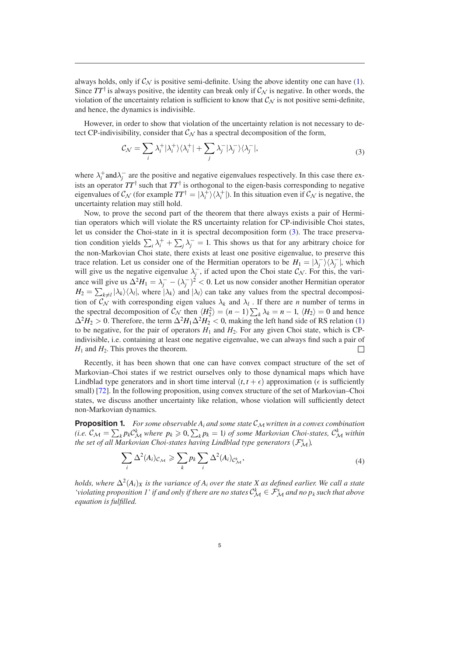always holds, only if  $C_N$  is positive semi-definite. Using the above identity one can have [\(1](#page-3-0)). Since  $TT^{\dagger}$  is always positive, the identity can break only if  $\mathcal{C}_{N}$  is negative. In other words, the violation of the uncertainty relation is sufficient to know that  $\mathcal{C}_{\mathcal{N}}$  is not positive semi-definite, and hence, the dynamics is indivisible.

However, in order to show that violation of the uncertainty relation is not necessary to detect CP-indivisibility, consider that  $\mathcal{C}_{\mathcal{N}}$  has a spectral decomposition of the form,

<span id="page-4-0"></span>
$$
\mathcal{C}_{\mathcal{N}} = \sum_{i} \lambda_{i}^{+} |\lambda_{i}^{+}\rangle\langle\lambda_{i}^{+}| + \sum_{j} \lambda_{j}^{-} |\lambda_{j}^{-}\rangle\langle\lambda_{j}^{-}|,\tag{3}
$$

where  $\lambda_i^+$  and  $\lambda_j^-$  are the positive and negative eigenvalues respectively. In this case there exists an operator  $TT^{\dagger}$  such that  $TT^{\dagger}$  is orthogonal to the eigen-basis corresponding to negative eigenvalues of  $C_N$  (for example  $TT^{\dagger} = |\lambda_i^+\rangle\langle\lambda_i^+|$ ). In this situation even if  $C_N$  is negative, the uncertainty relation may still hold.

Now, to prove the second part of the theorem that there always exists a pair of Hermitian operators which will violate the RS uncertainty relation for CP-indivisible Choi states, let us consider the Choi-state in it is spectral decomposition form ([3\)](#page-4-0). The trace preservation condition yields  $\sum_i \lambda_i^+ + \sum_j \lambda_j^- = 1$ . This shows us that for any arbitrary choice for the non-Markovian Choi state, there exists at least one positive eigenvalue, to preserve this trace relation. Let us consider one of the Hermitian operators to be  $H_1 = |\lambda_j^- \rangle \langle \lambda_j^-|$ , which will give us the negative eigenvalue  $\lambda_j^-$ , if acted upon the Choi state  $\mathcal{C}_N$ . For this, the variance will give us  $\Delta^2 H_1 = \lambda_j^- - (\lambda_j^-)^2 < 0$ . Let us now consider another Hermitian operator  $H_2 = \sum_{k \neq l} |\lambda_k\rangle\langle\lambda_l|$ , where  $|\lambda_k\rangle$  and  $|\lambda_l\rangle$  can take any values from the spectral decomposition of  $\mathcal{C}_{\mathcal{N}}$  with corresponding eigen values  $\lambda_k$  and  $\lambda_l$ . If there are *n* number of terms in the spectral decomposition of  $C_N$  then  $\langle H_2^2 \rangle = (n-1) \sum_k \lambda_k = n-1$ ,  $\langle H_2 \rangle = 0$  and hence  $\Delta^2 H_2 > 0$ . Therefore, the term  $\Delta^2 H_1 \Delta^2 H_2 < 0$ , making the left hand side of RS relation ([1\)](#page-3-0) to be negative, for the pair of operators  $H_1$  and  $H_2$ . For any given Choi state, which is CPindivisible, i.e. containing at least one negative eigenvalue, we can always find such a pair of  $H_1$  and  $H_2$ . This proves the theorem.

Recently, it has been shown that one can have convex compact structure of the set of Markovian–Choi states if we restrict ourselves only to those dynamical maps which have Lindblad type generators and in short time interval  $(t, t + \epsilon)$  approximation ( $\epsilon$  is sufficiently small) [\[72](#page-13-21)]. In the following proposition, using convex structure of the set of Markovian–Choi states, we discuss another uncertainty like relation, whose violation will sufficiently detect non-Markovian dynamics.

**Proposition 1.** For some observable  $A_i$  and some state  $C_M$  written in a convex combination *(i.e.*  $C_M = \sum_k p_k C_M^k$  where  $p_k \geqslant 0$ ,  $\sum_k p_k = 1$ ) of some Markovian Choi-states,  $C_M^k$  within *the set of all Markovian Choi-states having Lindblad type generators*  $(\mathcal{F}_{\mathcal{M}}^{\epsilon})$ *,* 

$$
\sum_{i} \Delta^{2}(A_{i})_{\mathcal{C}_{\mathcal{M}}} \geqslant \sum_{k} p_{k} \sum_{i} \Delta^{2}(A_{i})_{\mathcal{C}_{\mathcal{M}}^{k}}, \tag{4}
$$

*holds, where*  $\Delta^2(A_i)_X$  *is the variance of*  $A_i$  *over the state* X *as defined earlier. We call a state 'violating proposition 1' if and only if there are no states*  $C_M^k \in \mathcal{F}_M^{\epsilon}$  *and no p<sub>k</sub> such that above equation is fulfilled.*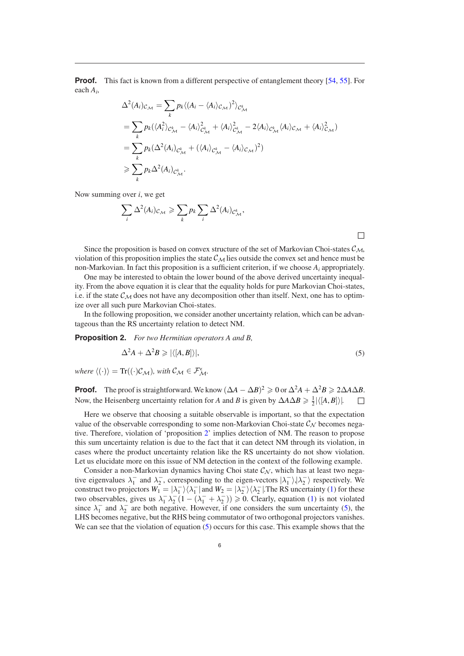**Proof.** This fact is known from a different perspective of entanglement theory [\[54](#page-13-11), [55](#page-13-22)]. For each *Ai*,

$$
\Delta^{2}(A_{i})_{\mathcal{C}_{\mathcal{M}}} = \sum_{k} p_{k} \langle (A_{i} - \langle A_{i} \rangle_{\mathcal{C}_{\mathcal{M}}})^{2} \rangle_{\mathcal{C}_{\mathcal{M}}^{k}}
$$
\n
$$
= \sum_{k} p_{k} (\langle A_{i}^{2} \rangle_{\mathcal{C}_{\mathcal{M}}^{k}} - \langle A_{i} \rangle_{\mathcal{C}_{\mathcal{M}}^{k}}^{2} + \langle A_{i} \rangle_{\mathcal{C}_{\mathcal{M}}^{k}}^{2} - 2 \langle A_{i} \rangle_{\mathcal{C}_{\mathcal{M}}^{k}} \langle A_{i} \rangle_{\mathcal{C}_{\mathcal{M}}} + \langle A_{i} \rangle_{\mathcal{C}_{\mathcal{M}}^{k}}^{2})
$$
\n
$$
= \sum_{k} p_{k} (\Delta^{2}(A_{i})_{\mathcal{C}_{\mathcal{M}}^{k}} + (\langle A_{i} \rangle_{\mathcal{C}_{\mathcal{M}}^{k}} - \langle A_{i} \rangle_{\mathcal{C}_{\mathcal{M}}})^{2})
$$
\n
$$
\geq \sum_{k} p_{k} \Delta^{2}(A_{i})_{\mathcal{C}_{\mathcal{M}}^{k}}.
$$

Now summing over *i*, we get

$$
\sum_{i} \Delta^{2}(A_{i})_{\mathcal{C}_{\mathcal{M}}} \geqslant \sum_{k} p_{k} \sum_{i} \Delta^{2}(A_{i})_{\mathcal{C}_{\mathcal{M}}^{k}},
$$

Since the proposition is based on convex structure of the set of Markovian Choi-states  $\mathcal{C}_{\mathcal{M}}$ , violation of this proposition implies the state  $\mathcal{C}_{\mathcal{M}}$  lies outside the convex set and hence must be non-Markovian. In fact this proposition is a sufficient criterion, if we choose *Ai* appropriately.

One may be interested to obtain the lower bound of the above derived uncertainty inequality. From the above equation it is clear that the equality holds for pure Markovian Choi-states, i.e. if the state  $\mathcal{C}_{\mathcal{M}}$  does not have any decomposition other than itself. Next, one has to optimize over all such pure Markovian Choi-states.

In the following proposition, we consider another uncertainty relation, which can be advantageous than the RS uncertainty relation to detect NM.

**Proposition 2.** *For two Hermitian operators A and B,*

<span id="page-5-1"></span><span id="page-5-0"></span>
$$
\Delta^2 A + \Delta^2 B \ge |\langle [A, B] \rangle|,\tag{5}
$$

□

 $where \langle (\cdot) \rangle = \text{Tr}((\cdot) \mathcal{C}_{\mathcal{M}})$ , with  $\mathcal{C}_{\mathcal{M}} \in \mathcal{F}_{\mathcal{M}}^{\epsilon}$ .

**Proof.** The proof is straightforward. We know  $(\Delta A - \Delta B)^2 \ge 0$  or  $\Delta^2 A + \Delta^2 B \ge 2\Delta A \Delta B$ . Now, the Heisenberg uncertainty relation for *A* and *B* is given by  $\Delta A \Delta B \ge \frac{1}{2} |\langle [A, B] \rangle|$ . □

Here we observe that choosing a suitable observable is important, so that the expectation value of the observable corresponding to some non-Markovian Choi-state  $\mathcal{C}_{\mathcal{N}}$  becomes negative. Therefore, violation of 'proposition [2](#page-5-0)' implies detection of NM. The reason to propose this sum uncertainty relation is due to the fact that it can detect NM through its violation, in cases where the product uncertainty relation like the RS uncertainty do not show violation. Let us elucidate more on this issue of NM detection in the context of the following example.

Consider a non-Markovian dynamics having Choi state  $\mathcal{C}_N$ , which has at least two negative eigenvalues  $\lambda_1^-$  and  $\lambda_2^-$ , corresponding to the eigen-vectors  $|\lambda_1^-|, |\lambda_2^-|$  respectively. We construct two projectors  $W_1 = |\lambda_1| / \langle \lambda_1|$  and  $W_2 = |\lambda_2| / \langle \lambda_2|$ . The RS uncertainty [\(1](#page-3-0)) for these two observables, gives us  $\lambda_1^-\lambda_2^-(1-(\lambda_1^-+\lambda_2^-)) \geq 0$  $\lambda_1^-\lambda_2^-(1-(\lambda_1^-+\lambda_2^-)) \geq 0$  $\lambda_1^-\lambda_2^-(1-(\lambda_1^-+\lambda_2^-)) \geq 0$ . Clearly, equation (1) is not violated since  $\lambda_1^-$  and  $\lambda_2^-$  are both negative. However, if one considers the sum uncertainty ([5\)](#page-5-1), the LHS becomes negative, but the RHS being commutator of two orthogonal projectors vanishes. We can see that the violation of equation [\(5](#page-5-1)) occurs for this case. This example shows that the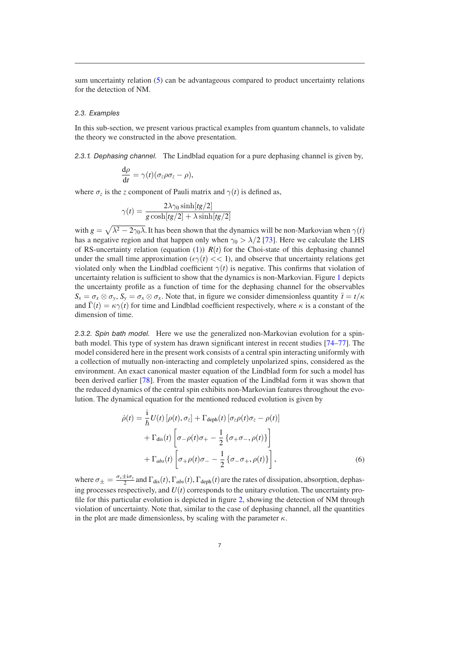sum uncertainty relation ([5\)](#page-5-1) can be advantageous compared to product uncertainty relations for the detection of NM.

#### *2.3. Examples*

In this sub-section, we present various practical examples from quantum channels, to validate the theory we constructed in the above presentation.

*2.3.1. Dephasing channel.* The Lindblad equation for a pure dephasing channel is given by,

$$
\frac{\mathrm{d}\rho}{\mathrm{d}t} = \gamma(t)(\sigma_z \rho \sigma_z - \rho),
$$

where  $\sigma_z$  is the *z* component of Pauli matrix and  $\gamma(t)$  is defined as,

$$
\gamma(t) = \frac{2\lambda\gamma_0 \sinh[tg/2]}{g \cosh[tg/2] + \lambda \sinh[tg/2]}
$$

with  $g = \sqrt{\lambda^2 - 2\gamma_0\lambda}$ . It has been shown that the dynamics will be non-Markovian when  $\gamma(t)$ has a negative region and that happen only when  $\gamma_0 > \lambda/2$  [\[73](#page-13-23)]. Here we calculate the LHS of RS-uncertainty relation (equation [\(1](#page-3-0)))  $R(t)$  for the Choi-state of this dephasing channel under the small time approximation ( $\epsilon \gamma(t) \ll 1$ ), and observe that uncertainty relations get violated only when the Lindblad coefficient  $\gamma(t)$  is negative. This confirms that violation of uncertainty relation is sufficient to show that the dynamics is non-Markovian. Figure [1](#page-7-0) depicts the uncertainty profile as a function of time for the dephasing channel for the observables  $S_x = \sigma_x \otimes \sigma_y$ ,  $S_y = \sigma_x \otimes \sigma_x$ . Note that, in figure we consider dimensionless quantity  $\bar{t} = t/\kappa$ and  $\bar{\Gamma}(t) = \kappa \gamma(t)$  for time and Lindblad coefficient respectively, where  $\kappa$  is a constant of the dimension of time.

*2.3.2. Spin bath model.* Here we use the generalized non-Markovian evolution for a spinbath model. This type of system has drawn significant interest in recent studies [\[74](#page-13-24)–[77](#page-13-25)]. The model considered here in the present work consists of a central spin interacting uniformly with a collection of mutually non-interacting and completely unpolarized spins, considered as the environment. An exact canonical master equation of the Lindblad form for such a model has been derived earlier [[78\]](#page-13-26). From the master equation of the Lindblad form it was shown that the reduced dynamics of the central spin exhibits non-Markovian features throughout the evolution. The dynamical equation for the mentioned reduced evolution is given by

<span id="page-6-0"></span>
$$
\dot{\rho}(t) = \frac{\mathrm{i}}{\hbar} U(t) \left[ \rho(t), \sigma_z \right] + \Gamma_{\text{deph}}(t) \left[ \sigma_z \rho(t) \sigma_z - \rho(t) \right] \n+ \Gamma_{\text{dis}}(t) \left[ \sigma_- \rho(t) \sigma_+ - \frac{1}{2} \left\{ \sigma_+ \sigma_-, \rho(t) \right\} \right] \n+ \Gamma_{\text{abs}}(t) \left[ \sigma_+ \rho(t) \sigma_- - \frac{1}{2} \left\{ \sigma_- \sigma_+, \rho(t) \right\} \right],
$$
\n(6)

where  $\sigma_{\pm} = \frac{\sigma_x \pm i \sigma_y}{2}$  and  $\Gamma_{\text{dis}}(t)$ ,  $\Gamma_{\text{abs}}(t)$ ,  $\Gamma_{\text{deph}}(t)$  are the rates of dissipation, absorption, dephasing processes respectively, and  $U(t)$  corresponds to the unitary evolution. The uncertainty profile for this particular evolution is depicted in figure [2](#page-8-0), showing the detection of NM through violation of uncertainty. Note that, similar to the case of dephasing channel, all the quantities in the plot are made dimensionless, by scaling with the parameter  $\kappa$ .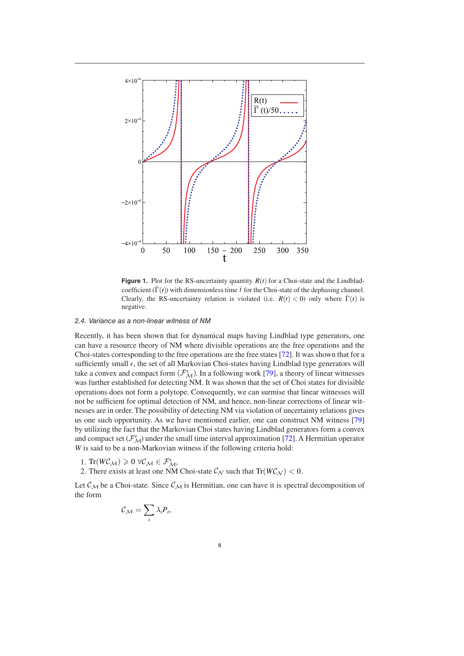<span id="page-7-0"></span>

**Figure 1.** Plot for the RS-uncertainty quantity  $R(t)$  for a Choi-state and the Lindbladcoefficient  $(\bar{\Gamma}(t))$  with dimensionless time  $\bar{t}$  for the Choi-state of the dephasing channel. Clearly, the RS-uncertainty relation is violated (i.e.  $R(t) < 0$ ) only where  $\bar{\Gamma}(t)$  is negative.

#### *2.4. Variance as a non-linear witness of NM*

Recently, it has been shown that for dynamical maps having Lindblad type generators, one can have a resource theory of NM where divisible operations are the free operations and the Choi-states corresponding to the free operations are the free states [\[72](#page-13-21)]. It was shown that for a sufficiently small  $\epsilon$ , the set of all Markovian Choi-states having Lindblad type generators will take a convex and compact form  $(\mathcal{F}_{\mathcal{M}}^{\epsilon})$ . In a following work [[79\]](#page-13-27), a theory of linear witnesses was further established for detecting NM. It was shown that the set of Choi states for divisible operations does not form a polytope. Consequently, we can surmise that linear witnesses will not be sufficient for optimal detection of NM, and hence, non-linear corrections of linear witnesses are in order. The possibility of detecting NM via violation of uncertainty relations gives us one such opportunity. As we have mentioned earlier, one can construct NM witness [[79\]](#page-13-27) by utilizing the fact that the Markovian Choi states having Lindblad generators form a convex and compact set  $(\mathcal{F}_{\mathcal{M}}^{\epsilon})$  under the small time interval approximation [\[72](#page-13-21)]. A Hermitian operator *W* is said to be a non-Markovian witness if the following criteria hold:

- 1. Tr( $W\mathcal{C}_\mathcal{M}$ )  $\geq 0$   $\forall \mathcal{C}_\mathcal{M} \in \mathcal{F}_\mathcal{M}^{\epsilon}$ ,
- 2. There exists at least one NM Choi-state  $\mathcal{C}_{\mathcal{N}}$  such that  $Tr(W\mathcal{C}_{\mathcal{N}}) < 0$ .

Let  $\mathcal{C}_{\mathcal{M}}$  be a Choi-state. Since  $\mathcal{C}_{\mathcal{M}}$  is Hermitian, one can have it is spectral decomposition of the form

$$
\mathcal{C}_{\mathcal{M}} = \sum_{i} \lambda_i P_i,
$$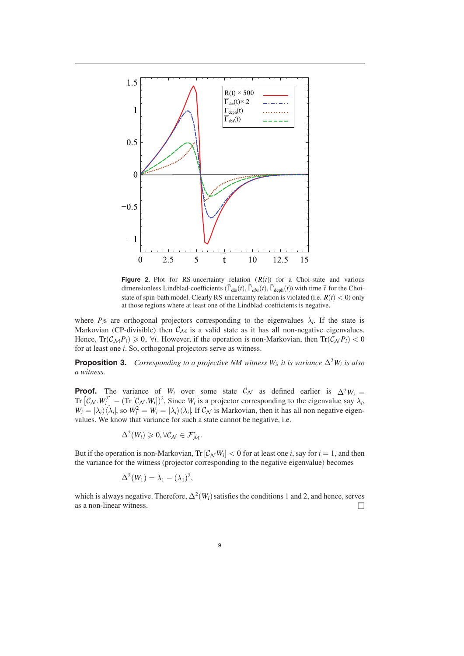<span id="page-8-0"></span>

**Figure 2.** Plot for RS-uncertainty relation  $(R(t))$  for a Choi-state and various dimensionless Lindblad-coefficients  $(\overline{\Gamma}_{dis}(t), \overline{\Gamma}_{abs}(t), \overline{\Gamma}_{deph}(t))$  with time  $\overline{t}$  for the Choistate of spin-bath model. Clearly RS-uncertainty relation is violated (i.e.  $R(t) < 0$ ) only at those regions where at least one of the Lindblad-coefficients is negative.

where  $P_i$ s are orthogonal projectors corresponding to the eigenvalues  $\lambda_i$ . If the state is Markovian (CP-divisible) then  $\mathcal{C}_{\mathcal{M}}$  is a valid state as it has all non-negative eigenvalues. Hence,  $\text{Tr}(\mathcal{C}_{\mathcal{M}}P_i) \geq 0$ ,  $\forall i$ . However, if the operation is non-Markovian, then  $\text{Tr}(\mathcal{C}_{\mathcal{N}}P_i) < 0$ for at least one *i*. So, orthogonal projectors serve as witness.

**Proposition 3.** *Corresponding to a projective NM witness W<sub>i</sub>, it is variance*  $\Delta^2 W_i$  *is also a witness.*

**Proof.** The variance of *W<sub>i</sub>* over some state  $\mathcal{C}_{\mathcal{N}}$  as defined earlier is  $\Delta^2 W_i =$  $Tr \left[ C_N \cdot W_i^2 \right] - (\text{Tr} \left[ C_N \cdot W_i \right])^2$ . Since *W<sub>i</sub>* is a projector corresponding to the eigenvalue say  $\lambda_i$ ,  $W_i = |\lambda_i\rangle\langle\lambda_i|$ , so  $W_i^2 = W_i = |\lambda_i\rangle\langle\lambda_i|$ . If  $\mathcal{C}_{\mathcal{N}}$  is Markovian, then it has all non negative eigenvalues. We know that variance for such a state cannot be negative, i.e.

<span id="page-8-1"></span>
$$
\Delta^2(W_i) \geq 0, \forall \mathcal{C}_{\mathcal{N}} \in \mathcal{F}_{\mathcal{M}}^{\epsilon}.
$$

But if the operation is non-Markovian,  $\text{Tr} [C_{\mathcal{N}} W_i] < 0$  for at least one *i*, say for  $i = 1$ , and then the variance for the witness (projector corresponding to the negative eigenvalue) becomes

$$
\Delta^2(W_1)=\lambda_1-(\lambda_1)^2,
$$

which is always negative. Therefore,  $\Delta^2(W_i)$  satisfies the conditions 1 and 2, and hence, serves as a non-linear witness.  $\Box$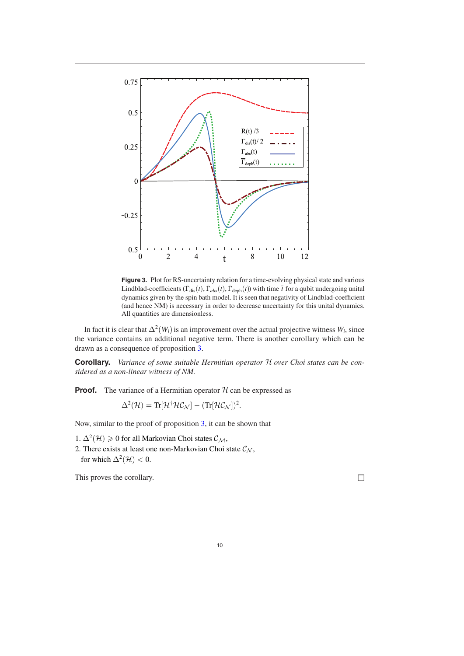<span id="page-9-0"></span>

**Figure 3.** Plot for RS-uncertainty relation for a time-evolving physical state and various Lindblad-coefficients  $(\bar{\Gamma}_{dis}(t), \bar{\Gamma}_{abs}(t), \bar{\Gamma}_{deph}(t))$  with time  $\bar{t}$  for a qubit undergoing unital dynamics given by the spin bath model. It is seen that negativity of Lindblad-coefficient (and hence NM) is necessary in order to decrease uncertainty for this unital dynamics. All quantities are dimensionless.

In fact it is clear that  $\Delta^2(W_i)$  is an improvement over the actual projective witness  $W_i$ , since the variance contains an additional negative term. There is another corollary which can be drawn as a consequence of proposition [3.](#page-8-1)

**Corollary.** *Variance of some suitable Hermitian operator* H *over Choi states can be considered as a non-linear witness of NM.*

**Proof.** The variance of a Hermitian operator  $H$  can be expressed as

$$
\Delta^{2}(\mathcal{H}) = \text{Tr}[\mathcal{H}^{\dagger} \mathcal{H} \mathcal{C}_{\mathcal{N}}] - (\text{Tr}[\mathcal{H} \mathcal{C}_{\mathcal{N}}])^{2}.
$$

Now, similar to the proof of proposition [3,](#page-8-1) it can be shown that

- 1.  $\Delta^2(\mathcal{H})$  ≥ 0 for all Markovian Choi states  $\mathcal{C}_{\mathcal{M}}$ ,
- 2. There exists at least one non-Markovian Choi state  $\mathcal{C}_{\mathcal{N}}$ , for which  $\Delta^2(\mathcal{H}) < 0$ .

This proves the corollary. □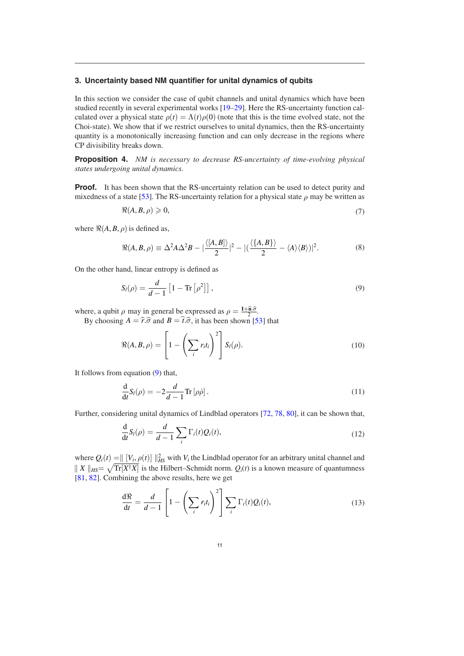## <span id="page-10-0"></span>**3. Uncertainty based NM quantifier for unital dynamics of qubits**

In this section we consider the case of qubit channels and unital dynamics which have been studied recently in several experimental works [[19](#page-12-10)–[29\]](#page-12-14). Here the RS-uncertainty function calculated over a physical state  $\rho(t) = \Lambda(t)\rho(0)$  (note that this is the time evolved state, not the Choi-state). We show that if we restrict ourselves to unital dynamics, then the RS-uncertainty quantity is a monotonically increasing function and can only decrease in the regions where CP divisibility breaks down.

**Proposition 4.** *NM is necessary to decrease RS-uncertainty of time-evolving physical states undergoing unital dynamics.*

**Proof.** It has been shown that the RS-uncertainty relation can be used to detect purity and mixedness of a state [[53\]](#page-13-10). The RS-uncertainty relation for a physical state  $\rho$  may be written as

$$
\Re(A, B, \rho) \geqslant 0,\tag{7}
$$

where  $\Re(A, B, \rho)$  is defined as,

$$
\Re(A, B, \rho) \equiv \Delta^2 A \Delta^2 B - |\frac{\langle [A, B] \rangle}{2}|^2 - |(\frac{\langle \{A, B\} \rangle}{2} - \langle A \rangle \langle B \rangle)|^2. \tag{8}
$$

On the other hand, linear entropy is defined as

<span id="page-10-1"></span>
$$
S_l(\rho) = \frac{d}{d-1} \left[ 1 - \text{Tr} \left[ \rho^2 \right] \right],\tag{9}
$$

where, a qubit  $\rho$  may in general be expressed as  $\rho = \frac{\mathbf{I} + \hat{\mathbf{n}} \cdot \hat{\sigma}}{2}$ .

By choosing  $A = \hat{r} \cdot \hat{\sigma}$  and  $B = \hat{t} \cdot \hat{\sigma}$ , it has been shown [\[53](#page-13-10)] that

$$
\Re(A, B, \rho) = \left[1 - \left(\sum_i r_i t_i\right)^2\right] S_i(\rho). \tag{10}
$$

It follows from equation [\(9](#page-10-1)) that,

$$
\frac{\mathrm{d}}{\mathrm{d}t}S_l(\rho) = -2\frac{d}{d-1}\mathrm{Tr}\left[\rho\dot{\rho}\right].\tag{11}
$$

Further, considering unital dynamics of Lindblad operators [[72,](#page-13-21) [78,](#page-13-26) [80\]](#page-13-28), it can be shown that,

$$
\frac{\mathrm{d}}{\mathrm{d}t}S_l(\rho) = \frac{d}{d-1} \sum_i \Gamma_i(t)Q_i(t),\tag{12}
$$

where  $Q_i(t) = || [V_i, \rho(t)] ||_{HS}^2$  with  $V_i$  the Lindblad operator for an arbitrary unital channel and  $\| X \|_{HS} = \sqrt{\text{Tr}[X^{\dagger}X]}$  is the Hilbert–Schmidt norm.  $Q_i(t)$  is a known measure of quantumness [\[81](#page-13-29), [82](#page-13-30)]. Combining the above results, here we get

$$
\frac{d\Re}{dt} = \frac{d}{d-1} \left[ 1 - \left( \sum_i r_i t_i \right)^2 \right] \sum_i \Gamma_i(t) Q_i(t), \tag{13}
$$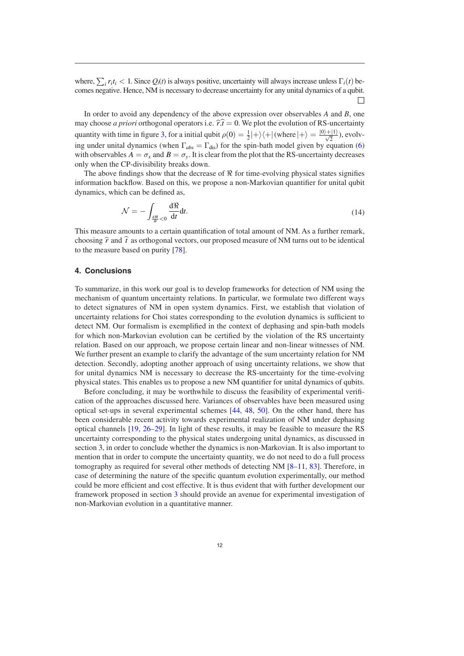where,  $\sum_i r_i t_i < 1$ . Since  $Q_i(t)$  is always positive, uncertainty will always increase unless  $\Gamma_i(t)$  becomes negative. Hence, NM is necessary to decrease uncertainty for any unital dynamics of a qubit. □

In order to avoid any dependency of the above expression over observables *A* and *B*, one may choose *a priori* orthogonal operators i.e.  $\hat{r} \cdot \hat{i} = 0$ . We plot the evolution of RS-uncertainty quantity with time in figure [3](#page-9-0), for a initial qubit  $\rho(0) = \frac{1}{2} |+\rangle \langle + |$  (where  $|+\rangle = \frac{|0\rangle + |1\rangle}{\sqrt{2}}$ ), evolving under unital dynamics (when  $\Gamma_{abs} = \Gamma_{dis}$ ) for the spin-bath model given by equation ([6\)](#page-6-0) with observables  $A = \sigma_x$  and  $B = \sigma_y$ . It is clear from the plot that the RS-uncertainty decreases only when the CP-divisibility breaks down.

The above findings show that the decrease of  $\Re$  for time-evolving physical states signifies information backflow. Based on this, we propose a non-Markovian quantifier for unital qubit dynamics, which can be defined as,

$$
\mathcal{N} = -\int_{\frac{d\Re}{dt} < 0} \frac{d\Re}{dt} dt. \tag{14}
$$

This measure amounts to a certain quantification of total amount of NM. As a further remark, choosing  $\hat{r}$  and  $\hat{t}$  as orthogonal vectors, our proposed measure of NM turns out to be identical to the measure based on purity [\[78](#page-13-26)].

#### <span id="page-11-0"></span>**4. Conclusions**

To summarize, in this work our goal is to develop frameworks for detection of NM using the mechanism of quantum uncertainty relations. In particular, we formulate two different ways to detect signatures of NM in open system dynamics. First, we establish that violation of uncertainty relations for Choi states corresponding to the evolution dynamics is sufficient to detect NM. Our formalism is exemplified in the context of dephasing and spin-bath models for which non-Markovian evolution can be certified by the violation of the RS uncertainty relation. Based on our approach, we propose certain linear and non-linear witnesses of NM. We further present an example to clarify the advantage of the sum uncertainty relation for NM detection. Secondly, adopting another approach of using uncertainty relations, we show that for unital dynamics NM is necessary to decrease the RS-uncertainty for the time-evolving physical states. This enables us to propose a new NM quantifier for unital dynamics of qubits.

Before concluding, it may be worthwhile to discuss the feasibility of experimental verification of the approaches discussed here. Variances of observables have been measured using optical set-ups in several experimental schemes [\[44](#page-13-31), [48](#page-13-32), [50](#page-13-7)]. On the other hand, there has been considerable recent activity towards experimental realization of NM under dephasing optical channels [[19,](#page-12-10) [26](#page-12-21)–[29](#page-12-14)]. In light of these results, it may be feasible to measure the RS uncertainty corresponding to the physical states undergoing unital dynamics, as discussed in section [3,](#page-10-0) in order to conclude whether the dynamics is non-Markovian. It is also important to mention that in order to compute the uncertainty quantity, we do not need to do a full process tomography as required for several other methods of detecting NM [[8](#page-12-3)–[11,](#page-12-16) [83](#page-13-33)]. Therefore, in case of determining the nature of the specific quantum evolution experimentally, our method could be more efficient and cost effective. It is thus evident that with further development our framework proposed in section [3](#page-10-0) should provide an avenue for experimental investigation of non-Markovian evolution in a quantitative manner.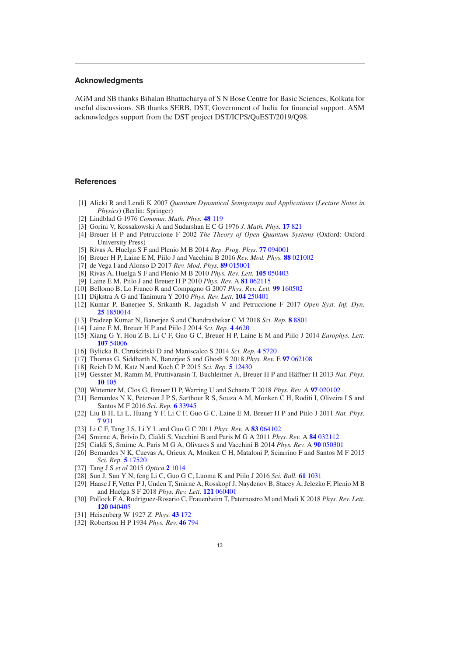## **Acknowledgments**

AGM and SB thanks Bihalan Bhattacharya of S N Bose Centre for Basic Sciences, Kolkata for useful discussions. SB thanks SERB, DST, Government of India for financial support. ASM acknowledges support from the DST project DST/ICPS/QuEST/2019/Q98.

#### **References**

- <span id="page-12-0"></span>[1] Alicki R and Lendi K 2007 *Quantum Dynamical Semigroups and Applications* (*Lecture Notes in Physics*) (Berlin: Springer)
- [2] Lindblad G 1976 *Commun. Math. Phys.* **[48](https://doi.org/10.1007/BF01608499)** [119](https://doi.org/10.1007/BF01608499)
- <span id="page-12-20"></span>[3] Gorini V, Kossakowski A and Sudarshan E C G 1976 *J. Math. Phys.* **[17](https://doi.org/10.1063/1.522979)** [821](https://doi.org/10.1063/1.522979)
- [4] Breuer H P and Petruccione F 2002 *The Theory of Open Quantum Systems* (Oxford: Oxford University Press)
- <span id="page-12-2"></span>[5] Rivas A, Huelga S F and Plenio M B 2014 *Rep. Prog. Phys.* **[77](https://doi.org/10.1088/0034-4885/77/9/094001)** [094001](https://doi.org/10.1088/0034-4885/77/9/094001)
- [6] Breuer H P, Laine E M, Piilo J and Vacchini B 2016 *Rev. Mod. Phys.* **[88](https://doi.org/10.1103/RevModPhys.88.021002)** [021002](https://doi.org/10.1103/RevModPhys.88.021002)
- <span id="page-12-1"></span>[7] de Vega I and Alonso D 2017 *Rev. Mod. Phys.* **[89](https://doi.org/10.1103/RevModPhys.89.015001)** [015001](https://doi.org/10.1103/RevModPhys.89.015001)
- <span id="page-12-3"></span>[8] Rivas A, Huelga S F and Plenio M B 2010 *Phys. Rev. Lett.* **[105](https://doi.org/10.1103/PhysRevLett.105.050403)** [050403](https://doi.org/10.1103/PhysRevLett.105.050403)
- <span id="page-12-15"></span>[9] Laine E M, Piilo J and Breuer H P 2010 *Phys. Rev.* A **[81](https://doi.org/10.1103/PhysRevA.81.062115)** [062115](https://doi.org/10.1103/PhysRevA.81.062115)
- [10] Bellomo B, Lo Franco R and Compagno G 2007 *Phys. Rev. Lett.* **[99](https://doi.org/10.1103/PhysRevLett.99.160502)** [160502](https://doi.org/10.1103/PhysRevLett.99.160502)
- <span id="page-12-16"></span>[11] Dijkstra A G and Tanimura Y 2010 *Phys. Rev. Lett.* **[104](https://doi.org/10.1103/PhysRevLett.104.250401)** [250401](https://doi.org/10.1103/PhysRevLett.104.250401)
- [12] Kumar P, Banerjee S, Srikanth R, Jagadish V and Petruccione F 2017 *Open Syst. Inf. Dyn.* **[25](https://doi.org/10.1142/S1230161218500142)** [1850014](https://doi.org/10.1142/S1230161218500142)
- <span id="page-12-4"></span>[13] Pradeep Kumar N, Banerjee S and Chandrashekar C M 2018 *Sci. Rep.* **[8](https://doi.org/10.1038/s41598-018-27132-7)** [8801](https://doi.org/10.1038/s41598-018-27132-7)
- <span id="page-12-5"></span>[14] Laine E M, Breuer H P and Piilo J 2014 *Sci. Rep.* **[4](https://doi.org/10.1038/srep04620)** [4620](https://doi.org/10.1038/srep04620)
- <span id="page-12-6"></span>[15] Xiang G Y, Hou Z B, Li C F, Guo G C, Breuer H P, Laine E M and Piilo J 2014 *Europhys. Lett.* **[107](https://doi.org/10.1209/0295-5075/107/54006)** [54006](https://doi.org/10.1209/0295-5075/107/54006)
- <span id="page-12-7"></span>[16] Bylicka B, Chruściński D and Maniscalco S 2014 *Sci. Rep.* **[4](https://doi.org/10.1038/srep05720)** [5720](https://doi.org/10.1038/srep05720)
- <span id="page-12-8"></span>[17] Thomas G, Siddharth N, Banerjee S and Ghosh S 2018 *Phys. Rev.* E **[97](https://doi.org/10.1103/PhysRevE.97.062108)** [062108](https://doi.org/10.1103/PhysRevE.97.062108)
- <span id="page-12-9"></span>[18] Reich D M, Katz N and Koch C P 2015 *Sci. Rep.* **[5](https://doi.org/10.1038/srep12430)** [12430](https://doi.org/10.1038/srep12430)
- <span id="page-12-10"></span>[19] Gessner M, Ramm M, Pruttivarasin T, Buchleitner A, Breuer H P and Häffner H 2013 *Nat. Phys.* **[10](https://doi.org/10.1038/nphys2829)** [105](https://doi.org/10.1038/nphys2829)
- <span id="page-12-11"></span>[20] Wittemer M, Clos G, Breuer H P, Warring U and Schaetz T 2018 *Phys. Rev.* A **[97](https://doi.org/10.1103/PhysRevA.97.020102)** [020102](https://doi.org/10.1103/PhysRevA.97.020102)
- <span id="page-12-12"></span>[21] Bernardes N K, Peterson J P S, Sarthour R S, Souza A M, Monken C H, Roditi I, Oliveira I S and Santos M F 2016 *Sci. Rep.* **[6](https://doi.org/10.1038/srep33945)** [33945](https://doi.org/10.1038/srep33945)
- <span id="page-12-13"></span>[22] Liu B H, Li L, Huang Y F, Li C F, Guo G C, Laine E M, Breuer H P and Piilo J 2011 *Nat. Phys.* **[7](https://doi.org/10.1038/nphys2085)** [931](https://doi.org/10.1038/nphys2085)
- [23] Li C F, Tang J S, Li Y L and Guo G C 2011 *Phys. Rev.* A **[83](https://doi.org/10.1103/PhysRevA.83.064102)** [064102](https://doi.org/10.1103/PhysRevA.83.064102)
- [24] Smirne A, Brivio D, Cialdi S, Vacchini B and Paris M G A 2011 *Phys. Rev.* A **[84](https://doi.org/10.1103/PhysRevA.84.032112)** [032112](https://doi.org/10.1103/PhysRevA.84.032112)
- [25] Cialdi S, Smirne A, Paris M G A, Olivares S and Vacchini B 2014 *Phys. Rev.* A **[90](https://doi.org/10.1103/PhysRevA.90.050301)** [050301](https://doi.org/10.1103/PhysRevA.90.050301)
- <span id="page-12-21"></span>[26] Bernardes N K, Cuevas A, Orieux A, Monken C H, Mataloni P, Sciarrino F and Santos M F 2015 *Sci. Rep.* **[5](https://doi.org/10.1038/srep17520)** [17520](https://doi.org/10.1038/srep17520)
- [27] Tang J S *et al* 2015 *Optica* **[2](https://doi.org/10.1364/OPTICA.2.001014)** [1014](https://doi.org/10.1364/OPTICA.2.001014)
- [28] Sun J, Sun Y N, feng Li C, Guo G C, Luoma K and Piilo J 2016 *Sci. Bull.* **[61](https://doi.org/10.1007/s11434-016-1089-8)** [1031](https://doi.org/10.1007/s11434-016-1089-8)
- <span id="page-12-14"></span>[29] Haase J F, Vetter P J, Unden T, Smirne A, Rosskopf J, Naydenov B, Stacey A, Jelezko F, Plenio M B and Huelga S F 2018 *Phys. Rev. Lett.* **[121](https://doi.org/10.1103/PhysRevLett.121.060401)** [060401](https://doi.org/10.1103/PhysRevLett.121.060401)
- <span id="page-12-17"></span>[30] Pollock F A, Rodríguez-Rosario C, Frauenheim T, Paternostro M and Modi K 2018 *Phys. Rev. Lett.* **[120](https://doi.org/10.1103/PhysRevLett.120.040405)** [040405](https://doi.org/10.1103/PhysRevLett.120.040405)
- <span id="page-12-18"></span>[31] Heisenberg W 1927 *Z. Phys.* **[43](https://doi.org/10.1007/BF01397280)** [172](https://doi.org/10.1007/BF01397280)
- <span id="page-12-19"></span>[32] Robertson H P 1934 *Phys. Rev.* **[46](https://doi.org/10.1103/PhysRev.46.794)** [794](https://doi.org/10.1103/PhysRev.46.794)